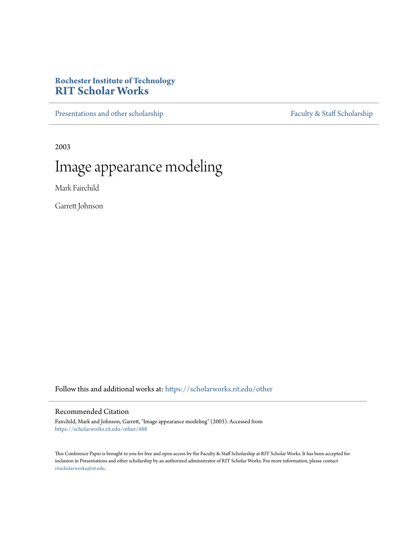# **Rochester Institute of Technology [RIT Scholar Works](https://scholarworks.rit.edu?utm_source=scholarworks.rit.edu%2Fother%2F488&utm_medium=PDF&utm_campaign=PDFCoverPages)**

[Presentations and other scholarship](https://scholarworks.rit.edu/other?utm_source=scholarworks.rit.edu%2Fother%2F488&utm_medium=PDF&utm_campaign=PDFCoverPages) [Faculty & Staff Scholarship](https://scholarworks.rit.edu/facstaff?utm_source=scholarworks.rit.edu%2Fother%2F488&utm_medium=PDF&utm_campaign=PDFCoverPages)

2003

# Image appearance modeling

Mark Fairchild

Garrett Johnson

Follow this and additional works at: [https://scholarworks.rit.edu/other](https://scholarworks.rit.edu/other?utm_source=scholarworks.rit.edu%2Fother%2F488&utm_medium=PDF&utm_campaign=PDFCoverPages)

## Recommended Citation

Fairchild, Mark and Johnson, Garrett, "Image appearance modeling" (2003). Accessed from [https://scholarworks.rit.edu/other/488](https://scholarworks.rit.edu/other/488?utm_source=scholarworks.rit.edu%2Fother%2F488&utm_medium=PDF&utm_campaign=PDFCoverPages)

This Conference Paper is brought to you for free and open access by the Faculty & Staff Scholarship at RIT Scholar Works. It has been accepted for inclusion in Presentations and other scholarship by an authorized administrator of RIT Scholar Works. For more information, please contact [ritscholarworks@rit.edu](mailto:ritscholarworks@rit.edu).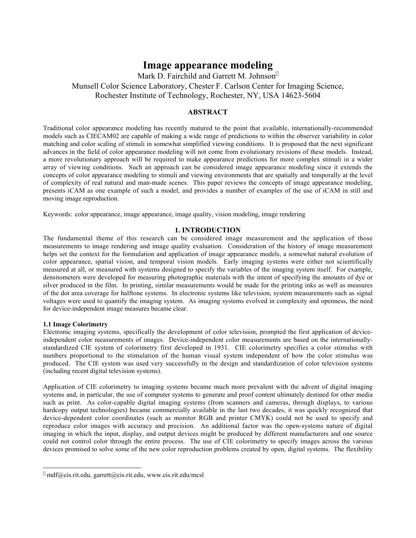# **Image appearance modeling**

Mark D. Fairchild and Garrett M. Johnson\* Munsell Color Science Laboratory, Chester F. Carlson Center for Imaging Science, Rochester Institute of Technology, Rochester, NY, USA 14623-5604

# **ABSTRACT**

Traditional color appearance modeling has recently matured to the point that available, internationally-recommended models such as CIECAM02 are capable of making a wide range of predictions to within the observer variability in color matching and color scaling of stimuli in somewhat simplified viewing conditions. It is proposed that the next significant advances in the field of color appearance modeling will not come from evolutionary revisions of these models. Instead, a more revolutionary approach will be required to make appearance predictions for more complex stimuli in a wider array of viewing conditions. Such an approach can be considered image appearance modeling since it extends the concepts of color appearance modeling to stimuli and viewing environments that are spatially and temporally at the level of complexity of real natural and man-made scenes. This paper reviews the concepts of image appearance modeling, presents iCAM as one example of such a model, and provides a number of examples of the use of iCAM in still and moving image reproduction.

Keywords: color appearance, image appearance, image quality, vision modeling, image rendering

#### **1. INTRODUCTION**

The fundamental theme of this research can be considered image measurement and the application of those measurements to image rendering and image quality evaluation. Consideration of the history of image measurement helps set the context for the formulation and application of image appearance models, a somewhat natural evolution of color appearance, spatial vision, and temporal vision models. Early imaging systems were either not scientifically measured at all, or measured with systems designed to specify the variables of the imaging system itself. For example, densitometers were developed for measuring photographic materials with the intent of specifying the amounts of dye or silver produced in the film. In printing, similar measurements would be made for the printing inks as well as measures of the dot area coverage for halftone systems. In electronic systems like television, system measurements such as signal voltages were used to quantify the imaging system. As imaging systems evolved in complexity and openness, the need for device-independent image measures became clear.

#### **1.1 Image Colorimetry**

1

Electronic imaging systems, specifically the development of color television, prompted the first application of deviceindependent color measurements of images. Device-independent color measurements are based on the internationallystandardized CIE system of colorimetry first developed in 1931. CIE colorimetry specifies a color stimulus with numbers proportional to the stimulation of the human visual system independent of how the color stimulus was produced. The CIE system was used very successfully in the design and standardization of color television systems (including recent digital television systems).

Application of CIE colorimetry to imaging systems became much more prevalent with the advent of digital imaging systems and, in particular, the use of computer systems to generate and proof content ultimately destined for other media such as print. As color-capable digital imaging systems (from scanners and cameras, through displays, to various hardcopy output technologies) became commercially available in the last two decades, it was quickly recognized that device-dependent color coordinates (such as monitor RGB and printer CMYK) could not be used to specify and reproduce color images with accuracy and precision. An additional factor was the open-systems nature of digital imaging in which the input, display, and output devices might be produced by different manufacturers and one source could not control color through the entire process. The use of CIE colorimetry to specify images across the various devices promised to solve some of the new color reproduction problems created by open, digital systems. The flexibility

<sup>\*</sup> mdf@cis.rit.edu, garrett@cis.rit.edu, www.cis.rit.edu/mcsl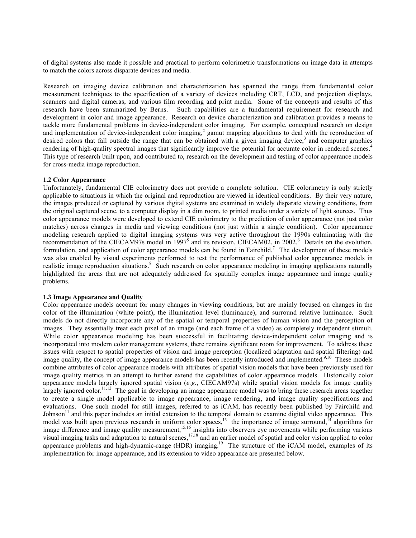of digital systems also made it possible and practical to perform colorimetric transformations on image data in attempts to match the colors across disparate devices and media.

Research on imaging device calibration and characterization has spanned the range from fundamental color measurement techniques to the specification of a variety of devices including CRT, LCD, and projection displays, scanners and digital cameras, and various film recording and print media. Some of the concepts and results of this research have been summarized by Berns.<sup>1</sup> Such capabilities are a fundamental requirement for research and development in color and image appearance. Research on device characterization and calibration provides a means to tackle more fundamental problems in device-independent color imaging. For example, conceptual research on design and implementation of device-independent color imaging, $\frac{2}{3}$  gamut mapping algorithms to deal with the reproduction of desired colors that fall outside the range that can be obtained with a given imaging device, $3$  and computer graphics rendering of high-quality spectral images that significantly improve the potential for accurate color in rendered scenes.<sup>4</sup> This type of research built upon, and contributed to, research on the development and testing of color appearance models for cross-media image reproduction.

#### **1.2 Color Appearance**

Unfortunately, fundamental CIE colorimetry does not provide a complete solution. CIE colorimetry is only strictly applicable to situations in which the original and reproduction are viewed in identical conditions. By their very nature, the images produced or captured by various digital systems are examined in widely disparate viewing conditions, from the original captured scene, to a computer display in a dim room, to printed media under a variety of light sources. Thus color appearance models were developed to extend CIE colorimetry to the prediction of color appearance (not just color matches) across changes in media and viewing conditions (not just within a single condition). Color appearance modeling research applied to digital imaging systems was very active throughout the 1990s culminating with the recommendation of the CIECAM97s model in 1997<sup>5</sup> and its revision, CIECAM02, in 2002.<sup>6</sup> Details on the evolution, formulation, and application of color appearance models can be found in Fairchild.<sup>7</sup> The development of these models was also enabled by visual experiments performed to test the performance of published color appearance models in realistic image reproduction situations.<sup>8</sup> Such research on color appearance modeling in imaging applications naturally highlighted the areas that are not adequately addressed for spatially complex image appearance and image quality problems.

#### **1.3 Image Appearance and Quality**

Color appearance models account for many changes in viewing conditions, but are mainly focused on changes in the color of the illumination (white point), the illumination level (luminance), and surround relative luminance. Such models do not directly incorporate any of the spatial or temporal properties of human vision and the perception of images. They essentially treat each pixel of an image (and each frame of a video) as completely independent stimuli. While color appearance modeling has been successful in facilitating device-independent color imaging and is incorporated into modern color management systems, there remains significant room for improvement. To address these issues with respect to spatial properties of vision and image perception (localized adaptation and spatial filtering) and image quality, the concept of image appearance models has been recently introduced and implemented.<sup>9,10</sup> These models combine attributes of color appearance models with attributes of spatial vision models that have been previously used for image quality metrics in an attempt to further extend the capabilities of color appearance models. Historically color appearance models largely ignored spatial vision (*e.g.*, CIECAM97s) while spatial vision models for image quality largely ignored color.<sup>11,12</sup> The goal in developing an image appearance model was to bring these research areas together to create a single model applicable to image appearance, image rendering, and image quality specifications and evaluations. One such model for still images, referred to as iCAM, has recently been published by Fairchild and Johnson<sup>11</sup> and this paper includes an initial extension to the temporal domain to examine digital video appearance. This model was built upon previous research in uniform color spaces,<sup>13</sup> the importance of image surround,<sup>14</sup> algorithms for image difference and image quality measurement,<sup>15,16</sup> insights into observers eye movements while performing various visual imaging tasks and adaptation to natural scenes,<sup>17,18</sup> and an earlier model of spatial and color vision applied to color appearance problems and high-dynamic-range (HDR) imaging.<sup>19</sup> The structure of the iCAM model, examples of its implementation for image appearance, and its extension to video appearance are presented below.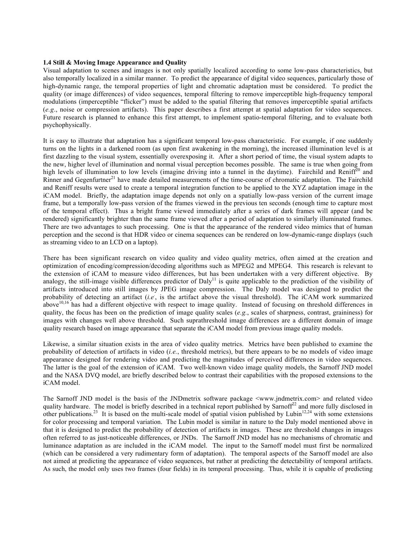#### **1.4 Still & Moving Image Appearance and Quality**

Visual adaptation to scenes and images is not only spatially localized according to some low-pass characteristics, but also temporally localized in a similar manner. To predict the appearance of digital video sequences, particularly those of high-dynamic range, the temporal properties of light and chromatic adaptation must be considered. To predict the quality (or image differences) of video sequences, temporal filtering to remove imperceptible high-frequency temporal modulations (imperceptible "flicker") must be added to the spatial filtering that removes imperceptible spatial artifacts (*e.g*., noise or compression artifacts). This paper describes a first attempt at spatial adaptation for video sequences. Future research is planned to enhance this first attempt, to implement spatio-temporal filtering, and to evaluate both psychophysically.

It is easy to illustrate that adaptation has a significant temporal low-pass characteristic. For example, if one suddenly turns on the lights in a darkened room (as upon first awakening in the morning), the increased illumination level is at first dazzling to the visual system, essentially overexposing it. After a short period of time, the visual system adapts to the new, higher level of illumination and normal visual perception becomes possible. The same is true when going from high levels of illumination to low levels (imagine driving into a tunnel in the daytime). Fairchild and Reniff<sup>20</sup> and Rinner and Gegenfurtner<sup>21</sup> have made detailed measurements of the time-course of chromatic adaptation. The Fairchild and Reniff results were used to create a temporal integration function to be applied to the XYZ adaptation image in the iCAM model. Briefly, the adaptation image depends not only on a spatially low-pass version of the current image frame, but a temporally low-pass version of the frames viewed in the previous ten seconds (enough time to capture most of the temporal effect). Thus a bright frame viewed immediately after a series of dark frames will appear (and be rendered) significantly brighter than the same frame viewed after a period of adaptation to similarly illuminated frames. There are two advantages to such processing. One is that the appearance of the rendered video mimics that of human perception and the second is that HDR video or cinema sequences can be rendered on low-dynamic-range displays (such as streaming video to an LCD on a laptop).

There has been significant research on video quality and video quality metrics, often aimed at the creation and optimization of encoding/compression/decoding algorithms such as MPEG2 and MPEG4. This research is relevant to the extension of iCAM to measure video differences, but has been undertaken with a very different objective. By analogy, the still-image visible differences predictor of Daly<sup>11</sup> is quite applicable to the prediction of the visibility of artifacts introduced into still images by JPEG image compression. The Daly model was designed to predict the probability of detecting an artifact (*i.e*, is the artifact above the visual threshold). The iCAM work summarized above<sup>10,16</sup> has had a different objective with respect to image quality. Instead of focusing on threshold differences in quality, the focus has been on the prediction of image quality scales (*e.g.*, scales of sharpness, contrast, graininess) for images with changes well above threshold. Such suprathreshold image differences are a different domain of image quality research based on image appearance that separate the iCAM model from previous image quality models.

Likewise, a similar situation exists in the area of video quality metrics. Metrics have been published to examine the probability of detection of artifacts in video (*i.e.*, threshold metrics), but there appears to be no models of video image appearance designed for rendering video and predicting the magnitudes of perceived differences in video sequences. The latter is the goal of the extension of iCAM. Two well-known video image quality models, the Sarnoff JND model and the NASA DVQ model, are briefly described below to contrast their capabilities with the proposed extensions to the iCAM model.

The Sarnoff JND model is the basis of the JNDmetrix software package <www.jndmetrix.com> and related video quality hardware. The model is briefly described in a technical report published by Sarnoff<sup>22</sup> and more fully disclosed in other publications.<sup>23</sup> It is based on the multi-scale model of spatial vision published by Lubin<sup>12,24</sup> with some extensions for color processing and temporal variation. The Lubin model is similar in nature to the Daly model mentioned above in that it is designed to predict the probability of detection of artifacts in images. These are threshold changes in images often referred to as just-noticeable differences, or JNDs. The Sarnoff JND model has no mechanisms of chromatic and luminance adaptation as are included in the iCAM model. The input to the Sarnoff model must first be normalized (which can be considered a very rudimentary form of adaptation). The temporal aspects of the Sarnoff model are also not aimed at predicting the appearance of video sequences, but rather at predicting the detectability of temporal artifacts. As such, the model only uses two frames (four fields) in its temporal processing. Thus, while it is capable of predicting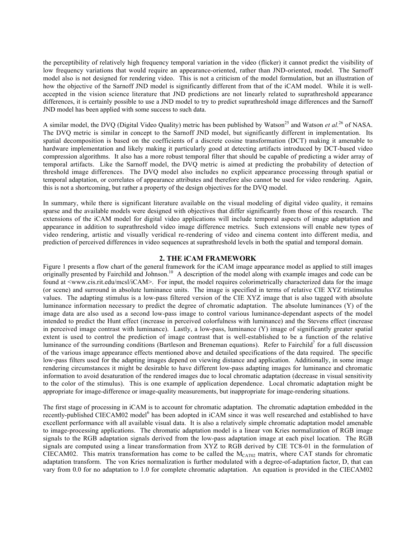the perceptibility of relatively high frequency temporal variation in the video (flicker) it cannot predict the visibility of low frequency variations that would require an appearance-oriented, rather than JND-oriented, model. The Sarnoff model also is not designed for rendering video. This is not a criticism of the model formulation, but an illustration of how the objective of the Sarnoff JND model is significantly different from that of the iCAM model. While it is wellaccepted in the vision science literature that JND predictions are not linearly related to suprathreshold appearance differences, it is certainly possible to use a JND model to try to predict suprathreshold image differences and the Sarnoff JND model has been applied with some success to such data.

A similar model, the DVQ (Digital Video Quality) metric has been published by Watson<sup>25</sup> and Watson *et al.*<sup>26</sup> of NASA. The DVQ metric is similar in concept to the Sarnoff JND model, but significantly different in implementation. Its spatial decomposition is based on the coefficients of a discrete cosine transformation (DCT) making it amenable to hardware implementation and likely making it particularly good at detecting artifacts introduced by DCT-based video compression algorithms. It also has a more robust temporal filter that should be capable of predicting a wider array of temporal artifacts. Like the Sarnoff model, the DVQ metric is aimed at predicting the probability of detection of threshold image differences. The DVQ model also includes no explicit appearance processing through spatial or temporal adaptation, or correlates of appearance attributes and therefore also cannot be used for video rendering. Again, this is not a shortcoming, but rather a property of the design objectives for the DVQ model.

In summary, while there is significant literature available on the visual modeling of digital video quality, it remains sparse and the available models were designed with objectives that differ significantly from those of this research. The extensions of the iCAM model for digital video applications will include temporal aspects of image adaptation and appearance in addition to suprathreshold video image difference metrics. Such extensions will enable new types of video rendering, artistic and visually veridical re-rendering of video and cinema content into different media, and prediction of perceived differences in video sequences at suprathreshold levels in both the spatial and temporal domain.

#### **2. THE iCAM FRAMEWORK**

Figure 1 presents a flow chart of the general framework for the iCAM image appearance model as applied to still images originally presented by Fairchild and Johnson.10 A description of the model along with example images and code can be found at <www.cis.rit.edu/mcsl/iCAM>. For input, the model requires colorimetrically characterized data for the image (or scene) and surround in absolute luminance units. The image is specified in terms of relative CIE XYZ tristimulus values. The adapting stimulus is a low-pass filtered version of the CIE XYZ image that is also tagged with absolute luminance information necessary to predict the degree of chromatic adaptation. The absolute luminances (Y) of the image data are also used as a second low-pass image to control various luminance-dependant aspects of the model intended to predict the Hunt effect (increase in perceived colorfulness with luminance) and the Stevens effect (increase in perceived image contrast with luminance). Lastly, a low-pass, luminance (Y) image of significantly greater spatial extent is used to control the prediction of image contrast that is well-established to be a function of the relative luminance of the surrounding conditions (Bartleson and Breneman equations). Refer to Fairchild<sup>7</sup> for a full discussion of the various image appearance effects mentioned above and detailed specifications of the data required. The specific low-pass filters used for the adapting images depend on viewing distance and application. Additionally, in some image rendering circumstances it might be desirable to have different low-pass adapting images for luminance and chromatic information to avoid desaturation of the rendered images due to local chromatic adaptation (decrease in visual sensitivity to the color of the stimulus). This is one example of application dependence. Local chromatic adaptation might be appropriate for image-difference or image-quality measurements, but inappropriate for image-rendering situations.

The first stage of processing in iCAM is to account for chromatic adaptation. The chromatic adaptation embedded in the recently-published CIECAM02 model<sup>6</sup> has been adopted in iCAM since it was well researched and established to have excellent performance with all available visual data. It is also a relatively simple chromatic adaptation model amenable to image-processing applications. The chromatic adaptation model is a linear von Kries normalization of RGB image signals to the RGB adaptation signals derived from the low-pass adaptation image at each pixel location. The RGB signals are computed using a linear transformation from XYZ to RGB derived by CIE TC8-01 in the formulation of CIECAM02. This matrix transformation has come to be called the  $M<sub>CAT02</sub>$  matrix, where CAT stands for chromatic adaptation transform. The von Kries normalization is further modulated with a degree-of-adaptation factor, D, that can vary from 0.0 for no adaptation to 1.0 for complete chromatic adaptation. An equation is provided in the CIECAM02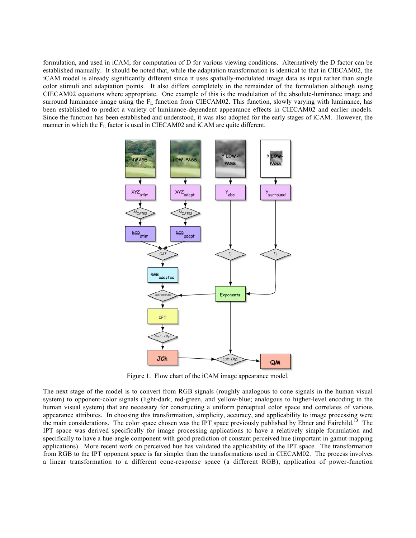formulation, and used in iCAM, for computation of D for various viewing conditions. Alternatively the D factor can be established manually. It should be noted that, while the adaptation transformation is identical to that in CIECAM02, the iCAM model is already significantly different since it uses spatially-modulated image data as input rather than single color stimuli and adaptation points. It also differs completely in the remainder of the formulation although using CIECAM02 equations where appropriate. One example of this is the modulation of the absolute-luminance image and surround luminance image using the  $F<sub>L</sub>$  function from CIECAM02. This function, slowly varying with luminance, has been established to predict a variety of luminance-dependent appearance effects in CIECAM02 and earlier models. Since the function has been established and understood, it was also adopted for the early stages of iCAM. However, the manner in which the  $F<sub>L</sub>$  factor is used in CIECAM02 and iCAM are quite different.



Figure 1. Flow chart of the iCAM image appearance model.

The next stage of the model is to convert from RGB signals (roughly analogous to cone signals in the human visual system) to opponent-color signals (light-dark, red-green, and yellow-blue; analogous to higher-level encoding in the human visual system) that are necessary for constructing a uniform perceptual color space and correlates of various appearance attributes. In choosing this transformation, simplicity, accuracy, and applicability to image processing were the main considerations. The color space chosen was the IPT space previously published by Ebner and Fairchild.<sup>13</sup> The IPT space was derived specifically for image processing applications to have a relatively simple formulation and specifically to have a hue-angle component with good prediction of constant perceived hue (important in gamut-mapping applications). More recent work on perceived hue has validated the applicability of the IPT space. The transformation from RGB to the IPT opponent space is far simpler than the transformations used in CIECAM02. The process involves a linear transformation to a different cone-response space (a different RGB), application of power-function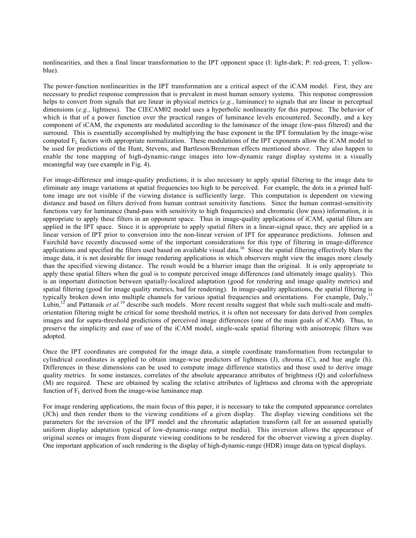nonlinearities, and then a final linear transformation to the IPT opponent space (I: light-dark; P: red-green, T: yellowblue).

The power-function nonlinearities in the IPT transformation are a critical aspect of the iCAM model. First, they are necessary to predict response compression that is prevalent in most human sensory systems. This response compression helps to convert from signals that are linear in physical metrics (*e.g.*, luminance) to signals that are linear in perceptual dimensions (*e.g.*, lightness). The CIECAM02 model uses a hyperbolic nonlinearity for this purpose. The behavior of which is that of a power function over the practical ranges of luminance levels encountered. Secondly, and a key component of iCAM, the exponents are modulated according to the luminance of the image (low-pass filtered) and the surround. This is essentially accomplished by multiplying the base exponent in the IPT formulation by the image-wise computed FL factors with appropriate normalization. These modulations of the IPT exponents allow the iCAM model to be used for predictions of the Hunt, Stevens, and Bartleson/Breneman effects mentioned above. They also happen to enable the tone mapping of high-dynamic-range images into low-dynamic range display systems in a visually meaningful way (see example in Fig. 4).

For image-difference and image-quality predictions, it is also necessary to apply spatial filtering to the image data to eliminate any image variations at spatial frequencies too high to be perceived. For example, the dots in a printed halftone image are not visible if the viewing distance is sufficiently large. This computation is dependent on viewing distance and based on filters derived from human contrast sensitivity functions. Since the human contrast-sensitivity functions vary for luminance (band-pass with sensitivity to high frequencies) and chromatic (low pass) information, it is appropriate to apply these filters in an opponent space. Thus in image-quality applications of iCAM, spatial filters are applied in the IPT space. Since it is appropriate to apply spatial filters in a linear-signal space, they are applied in a linear version of IPT prior to conversion into the non-linear version of IPT for appearance predictions. Johnson and Fairchild have recently discussed some of the important considerations for this type of filtering in image-difference applications and specified the filters used based on available visual data.<sup>16</sup> Since the spatial filtering effectively blurs the image data, it is not desirable for image rendering applications in which observers might view the images more closely than the specified viewing distance. The result would be a blurrier image than the original. It is only appropriate to apply these spatial filters when the goal is to compute perceived image differences (and ultimately image quality). This is an important distinction between spatially-localized adaptation (good for rendering and image quality metrics) and spatial filtering (good for image quality metrics, bad for rendering). In image-quality applications, the spatial filtering is typically broken down into multiple channels for various spatial frequencies and orientations. For example, Daly, $11$ Lubin,<sup>12</sup> and Pattanaik *et al.*<sup>19</sup> describe such models. More recent results suggest that while such multi-scale and multiorientation filtering might be critical for some threshold metrics, it is often not necessary for data derived from complex images and for supra-threshold predictions of perceived image differences (one of the main goals of iCAM). Thus, to preserve the simplicity and ease of use of the iCAM model, single-scale spatial filtering with anisotropic filters was adopted.

Once the IPT coordinates are computed for the image data, a simple coordinate transformation from rectangular to cylindrical coordinates is applied to obtain image-wise predictors of lightness (J), chroma (C), and hue angle (h). Differences in these dimensions can be used to compute image difference statistics and those used to derive image quality metrics. In some instances, correlates of the absolute appearance attributes of brightness (Q) and colorfulness (M) are required. These are obtained by scaling the relative attributes of lightness and chroma with the appropriate function of  $F<sub>L</sub>$  derived from the image-wise luminance map.

For image rendering applications, the main focus of this paper, it is necessary to take the computed appearance correlates (JCh) and then render them to the viewing conditions of a given display. The display viewing conditions set the parameters for the inversion of the IPT model and the chromatic adaptation transform (all for an assumed spatially uniform display adaptation typical of low-dynamic-range output media). This inversion allows the appearance of original scenes or images from disparate viewing conditions to be rendered for the observer viewing a given display. One important application of such rendering is the display of high-dynamic-range (HDR) image data on typical displays.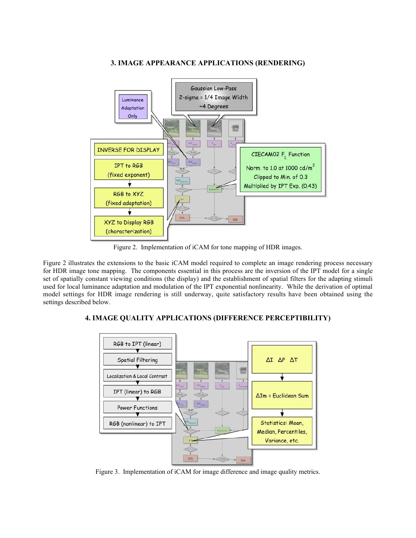### **3. IMAGE APPEARANCE APPLICATIONS (RENDERING)**



Figure 2. Implementation of iCAM for tone mapping of HDR images.

Figure 2 illustrates the extensions to the basic iCAM model required to complete an image rendering process necessary for HDR image tone mapping. The components essential in this process are the inversion of the IPT model for a single set of spatially constant viewing conditions (the display) and the establishment of spatial filters for the adapting stimuli used for local luminance adaptation and modulation of the IPT exponential nonlinearity. While the derivation of optimal model settings for HDR image rendering is still underway, quite satisfactory results have been obtained using the settings described below.



## **4. IMAGE QUALITY APPLICATIONS (DIFFERENCE PERCEPTIBILITY)**

Figure 3. Implementation of iCAM for image difference and image quality metrics.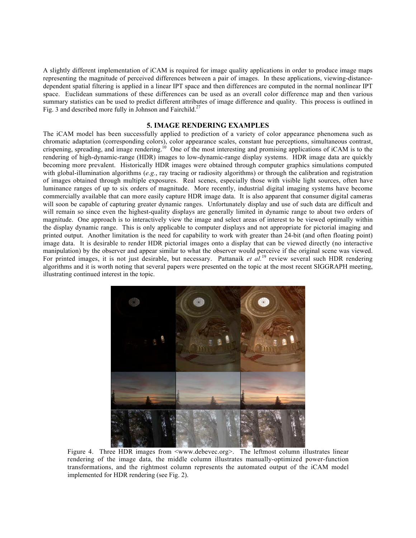A slightly different implementation of iCAM is required for image quality applications in order to produce image maps representing the magnitude of perceived differences between a pair of images. In these applications, viewing-distancedependent spatial filtering is applied in a linear IPT space and then differences are computed in the normal nonlinear IPT space. Euclidean summations of these differences can be used as an overall color difference map and then various summary statistics can be used to predict different attributes of image difference and quality. This process is outlined in Fig. 3 and described more fully in Johnson and Fairchild.<sup>27</sup>

#### **5. IMAGE RENDERING EXAMPLES**

The iCAM model has been successfully applied to prediction of a variety of color appearance phenomena such as chromatic adaptation (corresponding colors), color appearance scales, constant hue perceptions, simultaneous contrast, crispening, spreading, and image rendering.<sup>10</sup> One of the most interesting and promising applications of iCAM is to the rendering of high-dynamic-range (HDR) images to low-dynamic-range display systems. HDR image data are quickly becoming more prevalent. Historically HDR images were obtained through computer graphics simulations computed with global-illumination algorithms (*e.g.*, ray tracing or radiosity algorithms) or through the calibration and registration of images obtained through multiple exposures. Real scenes, especially those with visible light sources, often have luminance ranges of up to six orders of magnitude. More recently, industrial digital imaging systems have become commercially available that can more easily capture HDR image data. It is also apparent that consumer digital cameras will soon be capable of capturing greater dynamic ranges. Unfortunately display and use of such data are difficult and will remain so since even the highest-quality displays are generally limited in dynamic range to about two orders of magnitude. One approach is to interactively view the image and select areas of interest to be viewed optimally within the display dynamic range. This is only applicable to computer displays and not appropriate for pictorial imaging and printed output. Another limitation is the need for capability to work with greater than 24-bit (and often floating point) image data. It is desirable to render HDR pictorial images onto a display that can be viewed directly (no interactive manipulation) by the observer and appear similar to what the observer would perceive if the original scene was viewed. For printed images, it is not just desirable, but necessary. Pattanaik *et al.*<sup>19</sup> review several such HDR rendering algorithms and it is worth noting that several papers were presented on the topic at the most recent SIGGRAPH meeting, illustrating continued interest in the topic.



Figure 4. Three HDR images from <www.debevec.org>. The leftmost column illustrates linear rendering of the image data, the middle column illustrates manually-optimized power-function transformations, and the rightmost column represents the automated output of the iCAM model implemented for HDR rendering (see Fig. 2).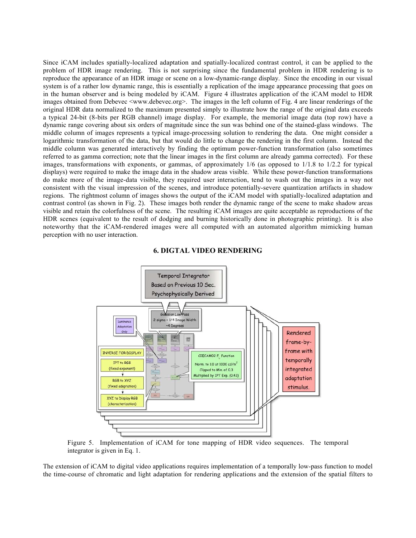Since iCAM includes spatially-localized adaptation and spatially-localized contrast control, it can be applied to the problem of HDR image rendering. This is not surprising since the fundamental problem in HDR rendering is to reproduce the appearance of an HDR image or scene on a low-dynamic-range display. Since the encoding in our visual system is of a rather low dynamic range, this is essentially a replication of the image appearance processing that goes on in the human observer and is being modeled by iCAM. Figure 4 illustrates application of the iCAM model to HDR images obtained from Debevec <www.debevec.org>. The images in the left column of Fig. 4 are linear renderings of the original HDR data normalized to the maximum presented simply to illustrate how the range of the original data exceeds a typical 24-bit (8-bits per RGB channel) image display. For example, the memorial image data (top row) have a dynamic range covering about six orders of magnitude since the sun was behind one of the stained-glass windows. The middle column of images represents a typical image-processing solution to rendering the data. One might consider a logarithmic transformation of the data, but that would do little to change the rendering in the first column. Instead the middle column was generated interactively by finding the optimum power-function transformation (also sometimes referred to as gamma correction; note that the linear images in the first column are already gamma corrected). For these images, transformations with exponents, or gammas, of approximately 1/6 (as opposed to 1/1.8 to 1/2.2 for typical displays) were required to make the image data in the shadow areas visible. While these power-function transformations do make more of the image-data visible, they required user interaction, tend to wash out the images in a way not consistent with the visual impression of the scenes, and introduce potentially-severe quantization artifacts in shadow regions. The rightmost column of images shows the output of the iCAM model with spatially-localized adaptation and contrast control (as shown in Fig. 2). These images both render the dynamic range of the scene to make shadow areas visible and retain the colorfulness of the scene. The resulting iCAM images are quite acceptable as reproductions of the HDR scenes (equivalent to the result of dodging and burning historically done in photographic printing). It is also noteworthy that the iCAM-rendered images were all computed with an automated algorithm mimicking human perception with no user interaction.



#### **6. DIGTAL VIDEO RENDERING**

Figure 5. Implementation of iCAM for tone mapping of HDR video sequences. The temporal integrator is given in Eq. 1.

The extension of iCAM to digital video applications requires implementation of a temporally low-pass function to model the time-course of chromatic and light adaptation for rendering applications and the extension of the spatial filters to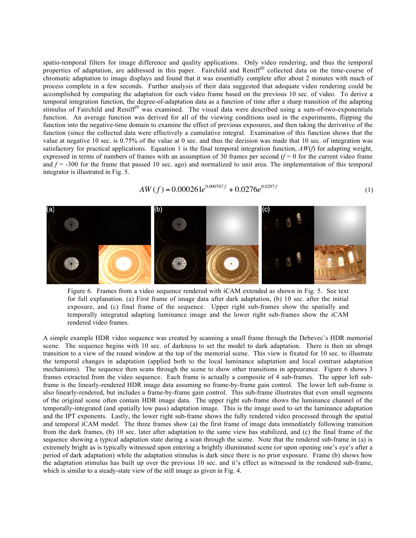spatio-temporal filters for image difference and quality applications. Only video rendering, and thus the temporal properties of adaptation, are addressed in this paper. Fairchild and Reniff<sup>20</sup> collected data on the time-course of chromatic adaptation to image displays and found that it was essentially complete after about 2 minutes with much of process complete in a few seconds. Further analysis of their data suggested that adequate video rendering could be accomplished by computing the adaptation for each video frame based on the previous 10 sec. of video. To derive a temporal integration function, the degree-of-adaptation data as a function of time after a sharp transition of the adapting stimulus of Fairchild and Reniff<sup>20</sup> was examined. The visual data were described using a sum-of-two-exponentials function. An average function was derived for all of the viewing conditions used in the experiments, flipping the function into the negative-time domain to examine the effect of previous exposures, and then taking the derivative of the function (since the collected data were effectively a cumulative integral. Examination of this function shows that the value at negative 10 sec. is 0.75% of the value at 0 sec. and thus the decision was made that 10 sec. of integration was satisfactory for practical applications. Equation 1 is the final temporal integration function,  $AW(f)$  for adapting weight, expressed in terms of numbers of frames with an assumption of 30 frames per second  $(f = 0)$  for the current video frame and  $f = -300$  for the frame that passed 10 sec. ago) and normalized to unit area. The implementation of this temporal integrator is illustrated in Fig. 5.

$$
AW(f) = 0.000261e^{0.000767f} + 0.0276e^{0.0297f}
$$
 (1)



Figure 6. Frames from a video sequence rendered with iCAM extended as shown in Fig. 5. See text for full explanation. (a) First frame of image data after dark adaptation, (b) 10 sec. after the initial exposure, and (c) final frame of the sequence. Upper right sub-frames show the spatially and temporally integrated adapting luminance image and the lower right sub-frames show the iCAM rendered video frames.

A simple example HDR video sequence was created by scanning a small frame through the Debevec's HDR memorial scene. The sequence begins with 10 sec. of darkness to set the model to dark adaptation. There is then an abrupt transition to a view of the round window at the top of the memorial scene. This view is fixated for 10 sec. to illustrate the temporal changes in adaptation (applied both to the local luminance adaptation and local contrast adaptation mechanisms). The sequence then scans through the scene to show other transitions in appearance. Figure 6 shows 3 frames extracted from the video sequence. Each frame is actually a composite of 4 sub-frames. The upper left subframe is the linearly-rendered HDR image data assuming no frame-by-frame gain control. The lower left sub-frame is also linearly-rendered, but includes a frame-by-frame gain control. This sub-frame illustrates that even small segments of the original scene often contain HDR image data. The upper right sub-frame shows the luminance channel of the temporally-integrated (and spatially low pass) adaptation image. This is the image used to set the luminance adaptation and the IPT exponents. Lastly, the lower right sub-frame shows the fully rendered video processed through the spatial and temporal iCAM model. The three frames show (a) the first frame of image data immediately following transition from the dark frames, (b) 10 sec. later after adaptation to the same view has stabilized, and (c) the final frame of the sequence showing a typical adaptation state during a scan through the scene. Note that the rendered sub-frame in (a) is extremely bright as is typically witnessed upon entering a brightly illuminated scene (or upon opening one's eye's after a period of dark adaptation) while the adaptation stimulus is dark since there is no prior exposure. Frame (b) shows how the adaptation stimulus has built up over the previous 10 sec. and it's effect as witnessed in the rendered sub-frame, which is similar to a steady-state view of the still image as given in Fig. 4.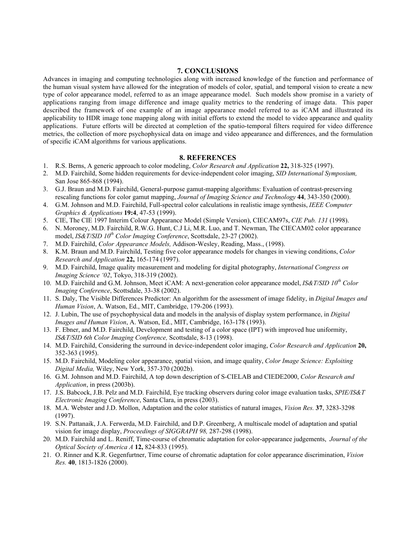#### **7. CONCLUSIONS**

Advances in imaging and computing technologies along with increased knowledge of the function and performance of the human visual system have allowed for the integration of models of color, spatial, and temporal vision to create a new type of color appearance model, referred to as an image appearance model. Such models show promise in a variety of applications ranging from image difference and image quality metrics to the rendering of image data. This paper described the framework of one example of an image appearance model referred to as iCAM and illustrated its applicability to HDR image tone mapping along with initial efforts to extend the model to video appearance and quality applications. Future efforts will be directed at completion of the spatio-temporal filters required for video difference metrics, the collection of more psychophysical data on image and video appearance and differences, and the formulation of specific iCAM algorithms for various applications.

#### **8. REFERENCES**

- 1. R.S. Berns, A generic approach to color modeling, *Color Research and Application* **22,** 318-325 (1997).
- 2. M.D. Fairchild, Some hidden requirements for device-independent color imaging, *SID International Symposium,* San Jose 865-868 (1994).
- 3. G.J. Braun and M.D. Fairchild, General-purpose gamut-mapping algorithms: Evaluation of contrast-preserving rescaling functions for color gamut mapping, *Journal of Imaging Science and Technology* **44**, 343-350 (2000).
- 4. G.M. Johnson and M.D. Fairchild, Full-spectral color calculations in realistic image synthesis, *IEEE Computer Graphics & Applications* **19:4**, 47-53 (1999).
- 5. CIE, The CIE 1997 Interim Colour Appearance Model (Simple Version), CIECAM97s, *CIE Pub. 131* (1998).
- 6. N. Moroney, M.D. Fairchild, R.W.G. Hunt, C.J Li, M.R. Luo, and T. Newman, The CIECAM02 color appearance model, *IS&T/SID 10<sup>th</sup> Color Imaging Conference*, Scottsdale, 23-27 (2002).
- 7. M.D. Fairchild, *Color Appearance Models,* Addison-Wesley, Reading, Mass., (1998).
- 8. K.M. Braun and M.D. Fairchild, Testing five color appearance models for changes in viewing conditions, *Color Research and Application* **22,** 165-174 (1997).
- 9. M.D. Fairchild, Image quality measurement and modeling for digital photography, *International Congress on Imaging Science '02*, Tokyo, 318-319 (2002).
- 10. M.D. Fairchild and G.M. Johnson, Meet iCAM: A next-generation color appearance model, *IS&T/SID 10th Color Imaging Conference*, Scottsdale, 33-38 (2002).
- 11. S. Daly, The Visible Differences Predictor: An algorithm for the assessment of image fidelity, in *Digital Images and Human Vision*, A. Watson, Ed., MIT, Cambridge, 179-206 (1993).
- 12. J. Lubin, The use of psychophysical data and models in the analysis of display system performance, in *Digital Images and Human Vision*, A. Watson, Ed., MIT, Cambridge, 163-178 (1993).
- 13. F. Ebner, and M.D. Fairchild, Development and testing of a color space (IPT) with improved hue uniformity, *IS&T/SID 6th Color Imaging Conference,* Scottsdale, 8-13 (1998).
- 14. M.D. Fairchild, Considering the surround in device-independent color imaging, *Color Research and Application* **20,** 352-363 (1995).
- 15. M.D. Fairchild, Modeling color appearance, spatial vision, and image quality, *Color Image Science: Exploiting Digital Media,* Wiley, New York, 357-370 (2002b).
- 16. G.M. Johnson and M.D. Fairchild, A top down description of S-CIELAB and CIEDE2000, *Color Research and Application*, in press (2003b).
- 17. J.S. Babcock, J.B. Pelz and M.D. Fairchild, Eye tracking observers during color image evaluation tasks, *SPIE/IS&T Electronic Imaging Conference*, Santa Clara, in press (2003).
- 18. M.A. Webster and J.D. Mollon, Adaptation and the color statistics of natural images, *Vision Res.* **37**, 3283-3298 (1997).
- 19. S.N. Pattanaik, J.A. Ferwerda, M.D. Fairchild, and D.P. Greenberg, A multiscale model of adaptation and spatial vision for image display, *Proceedings of SIGGRAPH 98,* 287-298 (1998).
- 20. M.D. Fairchild and L. Reniff, Time-course of chromatic adaptation for color-appearance judgements, *Journal of the Optical Society of America A* **12,** 824-833 (1995).
- 21. O. Rinner and K.R. Gegenfurtner, Time course of chromatic adaptation for color appearance discrimination, *Vision Res.* **40**, 1813-1826 (2000).